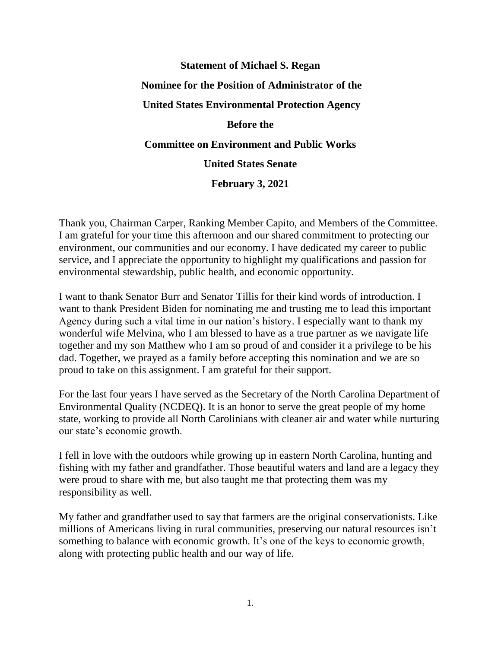## **Statement of Michael S. Regan Nominee for the Position of Administrator of the United States Environmental Protection Agency Before the Committee on Environment and Public Works United States Senate February 3, 2021**

Thank you, Chairman Carper, Ranking Member Capito, and Members of the Committee. I am grateful for your time this afternoon and our shared commitment to protecting our environment, our communities and our economy. I have dedicated my career to public service, and I appreciate the opportunity to highlight my qualifications and passion for environmental stewardship, public health, and economic opportunity.

I want to thank Senator Burr and Senator Tillis for their kind words of introduction. I want to thank President Biden for nominating me and trusting me to lead this important Agency during such a vital time in our nation's history. I especially want to thank my wonderful wife Melvina, who I am blessed to have as a true partner as we navigate life together and my son Matthew who I am so proud of and consider it a privilege to be his dad. Together, we prayed as a family before accepting this nomination and we are so proud to take on this assignment. I am grateful for their support.

For the last four years I have served as the Secretary of the North Carolina Department of Environmental Quality (NCDEQ). It is an honor to serve the great people of my home state, working to provide all North Carolinians with cleaner air and water while nurturing our state's economic growth.

I fell in love with the outdoors while growing up in eastern North Carolina, hunting and fishing with my father and grandfather. Those beautiful waters and land are a legacy they were proud to share with me, but also taught me that protecting them was my responsibility as well.

My father and grandfather used to say that farmers are the original conservationists. Like millions of Americans living in rural communities, preserving our natural resources isn't something to balance with economic growth. It's one of the keys to economic growth, along with protecting public health and our way of life.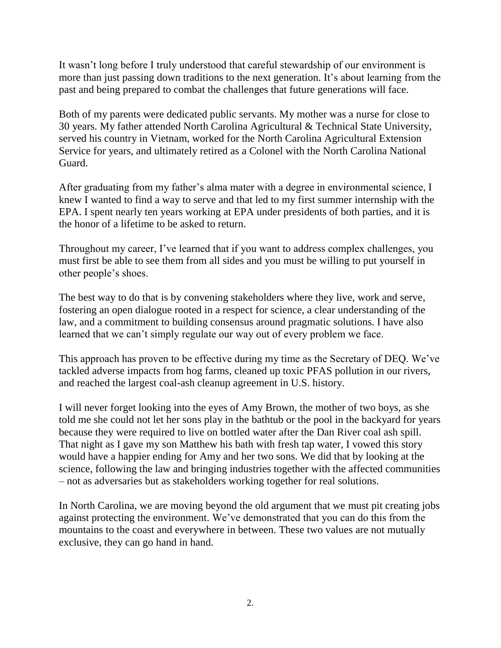It wasn't long before I truly understood that careful stewardship of our environment is more than just passing down traditions to the next generation. It's about learning from the past and being prepared to combat the challenges that future generations will face.

Both of my parents were dedicated public servants. My mother was a nurse for close to 30 years. My father attended North Carolina Agricultural & Technical State University, served his country in Vietnam, worked for the North Carolina Agricultural Extension Service for years, and ultimately retired as a Colonel with the North Carolina National Guard.

After graduating from my father's alma mater with a degree in environmental science, I knew I wanted to find a way to serve and that led to my first summer internship with the EPA. I spent nearly ten years working at EPA under presidents of both parties, and it is the honor of a lifetime to be asked to return.

Throughout my career, I've learned that if you want to address complex challenges, you must first be able to see them from all sides and you must be willing to put yourself in other people's shoes.

The best way to do that is by convening stakeholders where they live, work and serve, fostering an open dialogue rooted in a respect for science, a clear understanding of the law, and a commitment to building consensus around pragmatic solutions. I have also learned that we can't simply regulate our way out of every problem we face.

This approach has proven to be effective during my time as the Secretary of DEQ. We've tackled adverse impacts from hog farms, cleaned up toxic PFAS pollution in our rivers, and reached the largest coal-ash cleanup agreement in U.S. history.

I will never forget looking into the eyes of Amy Brown, the mother of two boys, as she told me she could not let her sons play in the bathtub or the pool in the backyard for years because they were required to live on bottled water after the Dan River coal ash spill. That night as I gave my son Matthew his bath with fresh tap water, I vowed this story would have a happier ending for Amy and her two sons. We did that by looking at the science, following the law and bringing industries together with the affected communities – not as adversaries but as stakeholders working together for real solutions.

In North Carolina, we are moving beyond the old argument that we must pit creating jobs against protecting the environment. We've demonstrated that you can do this from the mountains to the coast and everywhere in between. These two values are not mutually exclusive, they can go hand in hand.